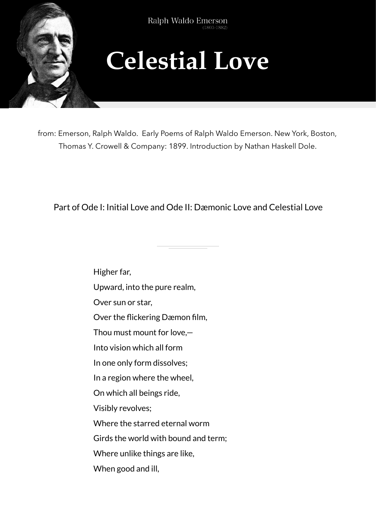

Ralph Waldo Emerson  $(1803 - 1882)$ 

## **Celestial Love**

from: Emerson, Ralph Waldo. Early Poems of Ralph Waldo Emerson. New York, Boston, Thomas Y. Crowell & Company: 1899. Introduction by Nathan Haskell Dole.

Part of Ode I: Initial Love and Ode II: Dæmonic Love and Celestial Love

Higher far, Upward, into the pure realm, Over sun or star, Over the flickering Dæmon film, Thou must mount for love,— Into vision which all form In one only form dissolves; In a region where the wheel, On which all beings ride, Visibly revolves; Where the starred eternal worm Girds the world with bound and term; Where unlike things are like, When good and ill,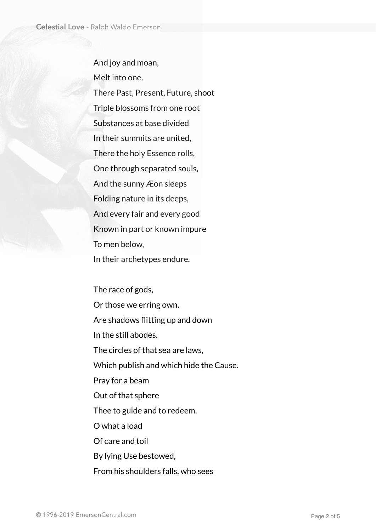And joy and moan, Melt into one. There Past, Present, Future, shoot Triple blossoms from one root Substances at base divided In their summits are united, There the holy Essence rolls, One through separated souls, And the sunny Æon sleeps Folding nature in its deeps, And every fair and every good Known in part or known impure To men below, In their archetypes endure.

The race of gods, Or those we erring own, Are shadows flitting up and down In the still abodes. The circles of that sea are laws, Which publish and which hide the Cause. Pray for a beam Out of that sphere Thee to guide and to redeem. O what a load Of care and toil By lying Use bestowed,

From his shoulders falls, who sees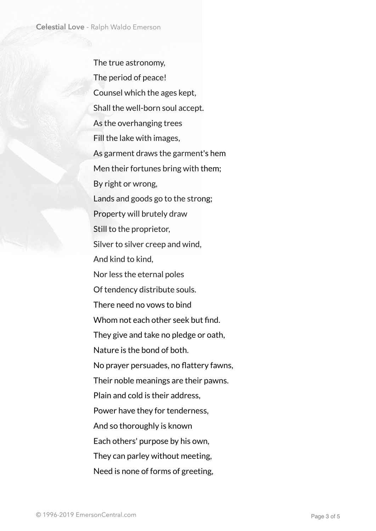The true astronomy, The period of peace! Counsel which the ages kept, Shall the well-born soul accept. As the overhanging trees Fill the lake with images, As garment draws the garment's hem Men their fortunes bring with them; By right or wrong, Lands and goods go to the strong; Property will brutely draw Still to the proprietor, Silver to silver creep and wind, And kind to kind. Nor less the eternal poles Of tendency distribute souls. There need no vows to bind Whom not each other seek but find. They give and take no pledge or oath, Nature is the bond of both. No prayer persuades, no flattery fawns, Their noble meanings are their pawns. Plain and cold is their address, Power have they for tenderness, And so thoroughly is known Each others' purpose by his own, They can parley without meeting, Need is none of forms of greeting,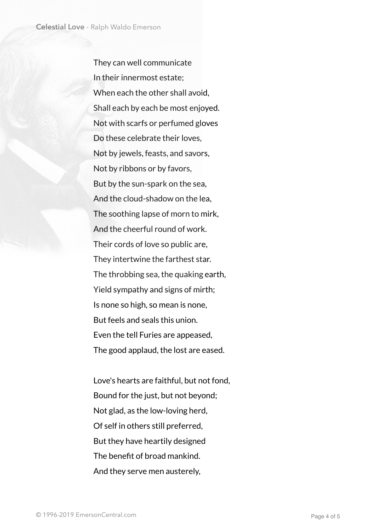They can well communicate In their innermost estate; When each the other shall avoid, Shall each by each be most enjoyed. Not with scarfs or perfumed gloves Do these celebrate their loves, Not by jewels, feasts, and savors, Not by ribbons or by favors, But by the sun-spark on the sea, And the cloud-shadow on the lea, The soothing lapse of morn to mirk, And the cheerful round of work. Their cords of love so public are, They intertwine the farthest star. The throbbing sea, the quaking earth, Yield sympathy and signs of mirth; Is none so high, so mean is none, But feels and seals this union. Even the tell Furies are appeased, The good applaud, the lost are eased.

Love's hearts are faithful, but not fond, Bound for the just, but not beyond; Not glad, as the low-loving herd, Of self in others still preferred, But they have heartily designed The benefit of broad mankind. And they serve men austerely,